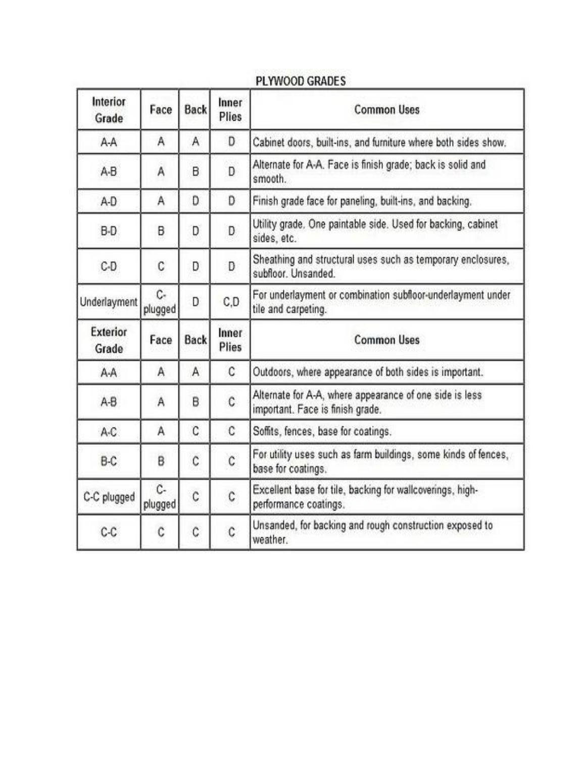| Interior<br>Grade | Face          | <b>Back</b> | Inner<br>Plies | <b>Common Uses</b>                                                                          |
|-------------------|---------------|-------------|----------------|---------------------------------------------------------------------------------------------|
| A-A               | Α             | Α           | D              | Cabinet doors, built-ins, and furniture where both sides show.                              |
| A-B               | Α             | B           | D              | Alternate for A-A. Face is finish grade; back is solid and<br>smooth.                       |
| A-D               | Α             | D           | D              | Finish grade face for paneling, built-ins, and backing.                                     |
| B-D               | B             | D           | D              | Utility grade, One paintable side. Used for backing, cabinet<br>sides, etc.                 |
| C-D               | C             | D           | D              | Sheathing and structural uses such as temporary enclosures,<br>subfloor. Unsanded.          |
| Underlayment      | C-<br>plugged | D           | C,D            | For underlayment or combination subfloor-underlayment under<br>tile and carpeting.          |
| Exterior<br>Grade | Face          | Back        | Inner<br>Plies | <b>Common Uses</b>                                                                          |
| A-A               | Α             | A           | C              | Outdoors, where appearance of both sides is important.                                      |
| A-B               | Α             | B           | C.             | Alternate for A-A, where appearance of one side is less<br>important. Face is finish grade. |
| A-C               | Α             | C           | C              | Soffits, fences, base for coatings.                                                         |
| B-C               | B             | Ċ           | $\mathfrak c$  | For utility uses such as farm buildings, some kinds of fences,<br>base for coatings.        |
| C-C plugged       | C-<br>plugged | Ċ           | C              | Excellent base for tile, backing for wallcoverings, high-<br>performance coatings.          |
| C-C               | C             | C           | ¢              | Unsanded, for backing and rough construction exposed to<br>weather.                         |

# PLYWOOD GRADES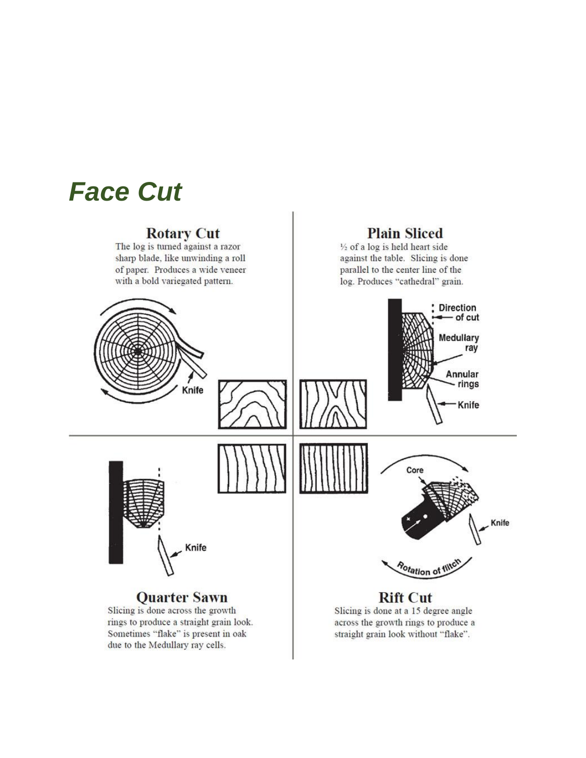

**Rotary Cut**<br>The log is turned against a razor sharp blade, like unwinding a roll of paper. Produces a wide veneer with a bold variegated pattern.

### **Plain Sliced**

 $\frac{1}{2}$  of a log is held heart side against the table. Slicing is done parallel to the center line of the log. Produces "cathedral" grain.

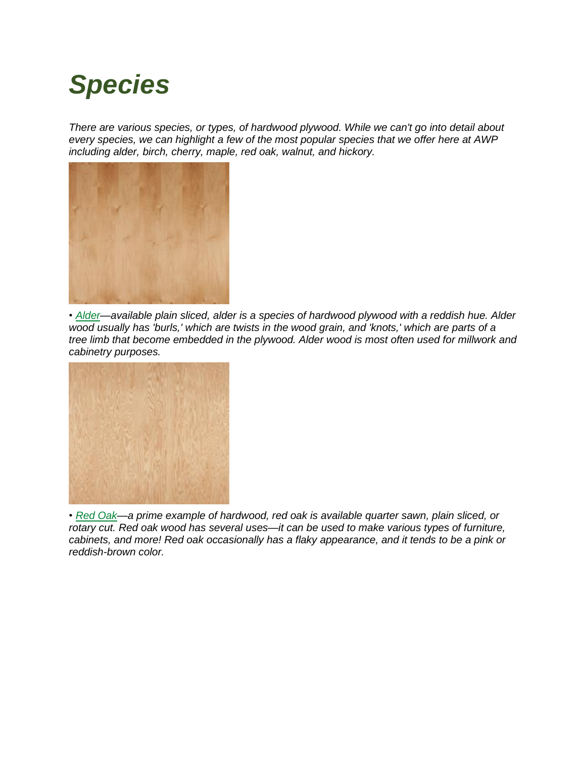# *Species*

*There are various species, or types, of hardwood plywood. While we can't go into detail about every species, we can highlight a few of the most popular species that we offer here at AWP including alder, birch, cherry, maple, red oak, walnut, and hickory.*



*• [Alder—](https://www.menards.com/main/building-materials/panel-products/specialty-panels/hardwood-panels/c-13334.htm?Spec_WoodSpecies_facet=Alder)available plain sliced, alder is a species of hardwood plywood with a reddish hue. Alder wood usually has 'burls,' which are twists in the wood grain, and 'knots,' which are parts of a tree limb that become embedded in the plywood. Alder wood is most often used for millwork and cabinetry purposes.*



*• Red [Oak—](https://www.menards.com/main/building-materials/panel-products/specialty-panels/hardwood-panels/c-13334.htm?Spec_WoodSpecies_facet=Red+Oak)a prime example of hardwood, red oak is available quarter sawn, plain sliced, or rotary cut. Red oak wood has several uses—it can be used to make various types of furniture, cabinets, and more! Red oak occasionally has a flaky appearance, and it tends to be a pink or reddish-brown color.*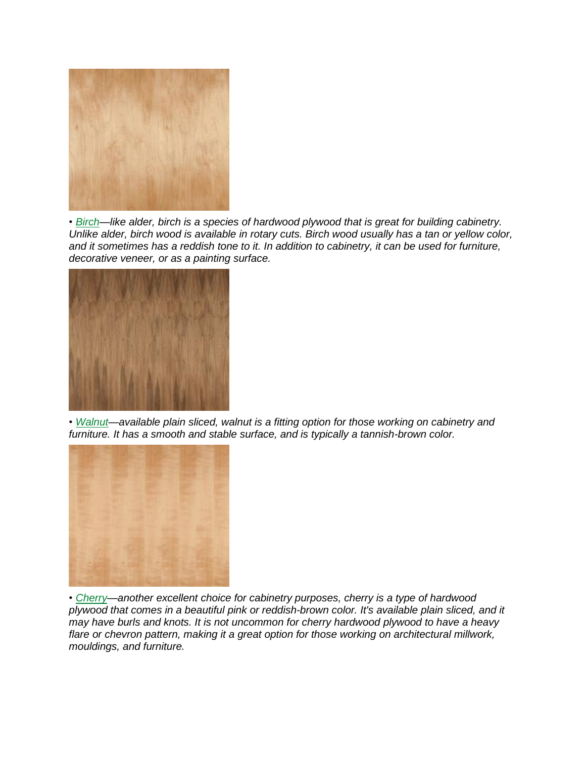

*• [Birch—](https://www.menards.com/main/building-materials/panel-products/specialty-panels/hardwood-panels/c-13334.htm?Spec_WoodSpecies_facet=Birch)like alder, birch is a species of hardwood plywood that is great for building cabinetry.* Unlike alder, birch wood is available in rotary cuts. Birch wood usually has a tan or yellow color, and it sometimes has a reddish tone to it. In addition to cabinetry, it can be used for furniture, *decorative veneer, or as a painting surface.*



*• [Walnut—](https://www.menards.com/main/building-materials/panel-products/specialty-panels/hardwood-panels/c-13334.htm?Spec_WoodSpecies_facet=Walnut)available plain sliced, walnut is a fitting option for those working on cabinetry and furniture. It has a smooth and stable surface, and is typically a tannish-brown color.*



*• [Cherry—](https://www.menards.com/main/building-materials/panel-products/specialty-panels/hardwood-panels/c-13334.htm?Spec_WoodSpecies_facet=Cherry)another excellent choice for cabinetry purposes, cherry is a type of hardwood plywood that comes in a beautiful pink or reddish-brown color. It's available plain sliced, and it may have burls and knots. It is not uncommon for cherry hardwood plywood to have a heavy flare or chevron pattern, making it a great option for those working on architectural millwork, mouldings, and furniture.*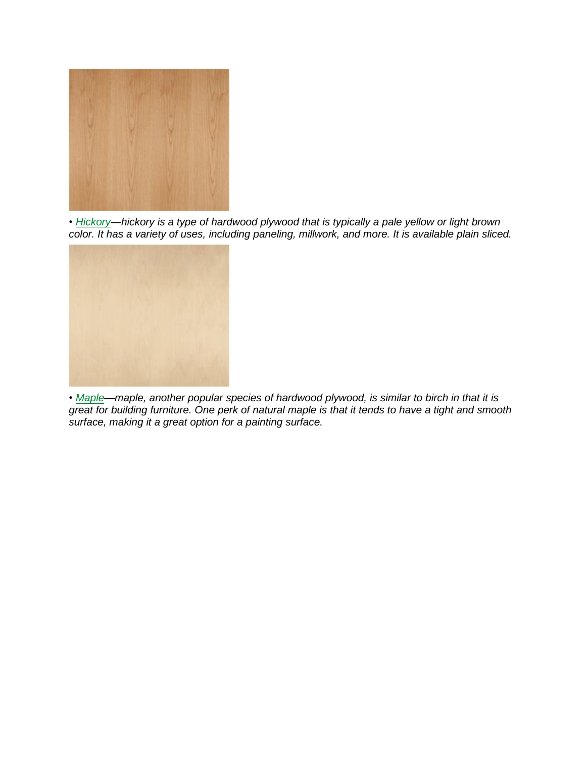

*• [Hickory—](https://www.menards.com/main/building-materials/panel-products/specialty-panels/hardwood-panels/c-13334.htm?Spec_WoodSpecies_facet=Hickory)hickory is a type of hardwood plywood that is typically a pale yellow or light brown color. It has a variety of uses, including paneling, millwork, and more. It is available plain sliced.*



*• [Maple—](https://www.menards.com/main/building-materials/panel-products/specialty-panels/hardwood-panels/c-13334.htm?Spec_WoodSpecies_facet=Maple)maple, another popular species of hardwood plywood, is similar to birch in that it is* great for building furniture. One perk of natural maple is that it tends to have a tight and smooth *surface, making it a great option for a painting surface.*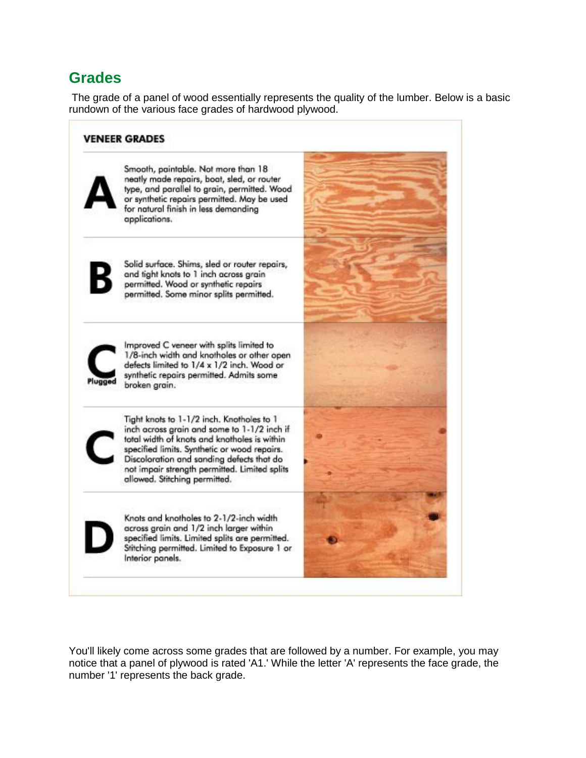# **Grades**

The grade of a panel of wood essentially represents the quality of the lumber. Below is a basic rundown of the various face grades of hardwood plywood.



You'll likely come across some grades that are followed by a number. For example, you may notice that a panel of plywood is rated 'A1.' While the letter 'A' represents the face grade, the number '1' represents the back grade.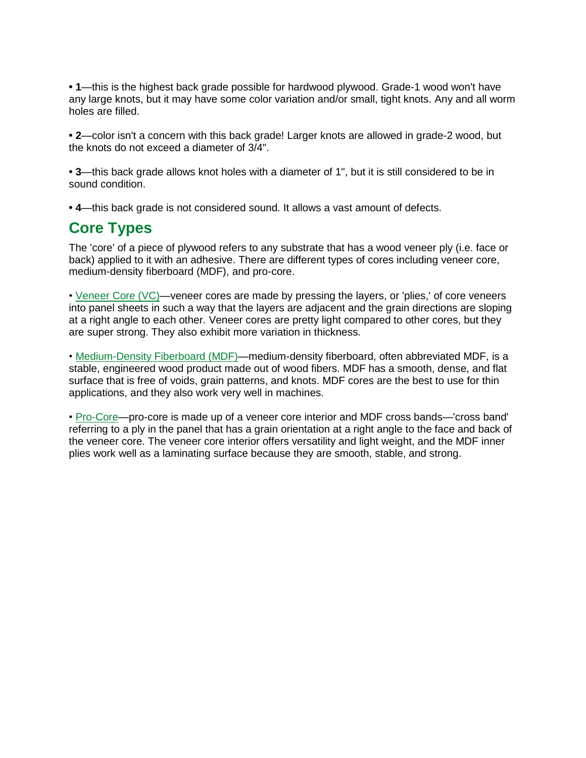**• 1**—this is the highest back grade possible for hardwood plywood. Grade-1 wood won't have any large knots, but it may have some color variation and/or small, tight knots. Any and all worm holes are filled.

**• 2**—color isn't a concern with this back grade! Larger knots are allowed in grade-2 wood, but the knots do not exceed a diameter of 3/4".

**• 3**—this back grade allows knot holes with a diameter of 1", but it is still considered to be in sound condition.

**• 4**—this back grade is not considered sound. It allows a vast amount of defects.

## **Core Types**

The 'core' of a piece of plywood refers to any substrate that has a wood veneer ply (i.e. face or back) applied to it with an adhesive. There are different types of cores including veneer core, medium-density fiberboard (MDF), and pro-core.

• [Veneer](https://www.menards.com/main/find.html?find=veneer+core&sf_categoryHierarchy=Building+Materials_5640%7EPanel+Products_5696%7ESpecialty+Panels_13324%7EHardwood+Panels_13334) Core (VC)—veneer cores are made by pressing the layers, or 'plies,' of core veneers into panel sheets in such a way that the layers are adjacent and the grain directions are sloping at a right angle to each other. Veneer cores are pretty light compared to other cores, but they are super strong. They also exhibit more variation in thickness.

• [Medium-Density](https://www.menards.com/main/find.html?find=MDF&sf_categoryHierarchy=Building+Materials_5640%7EPanel+Products_5696%7ESpecialty+Panels_13324%7EHardwood+Panels_13334) Fiberboard (MDF)—medium-density fiberboard, often abbreviated MDF, is a stable, engineered wood product made out of wood fibers. MDF has a smooth, dense, and flat surface that is free of voids, grain patterns, and knots. MDF cores are the best to use for thin applications, and they also work very well in machines.

• [Pro-Core—](https://www.menards.com/main/find.html?find=pro+core&sf_categoryHierarchy=Building+Materials_5640%7EPanel+Products_5696%7ESpecialty+Panels_13324%7EHardwood+Panels_13334)pro-core is made up of a veneer core interior and MDF cross bands—'cross band' referring to a ply in the panel that has a grain orientation at a right angle to the face and back of the veneer core. The veneer core interior offers versatility and light weight, and the MDF inner plies work well as a laminating surface because they are smooth, stable, and strong.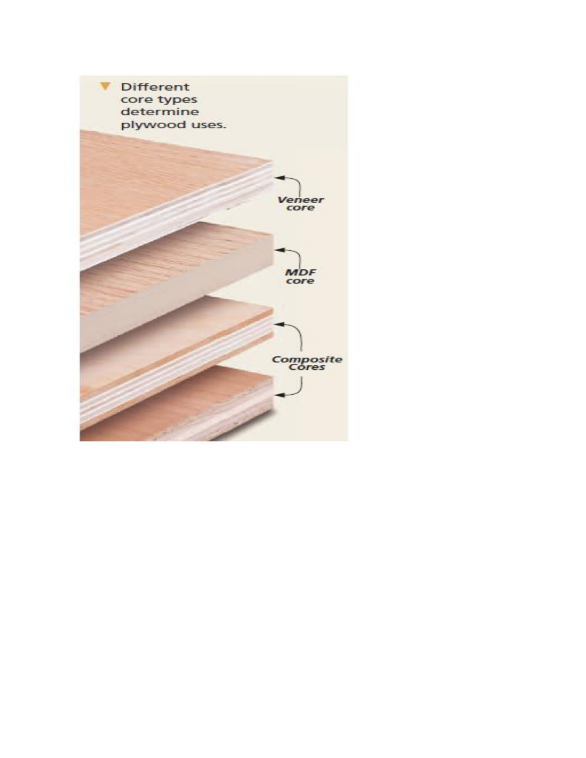